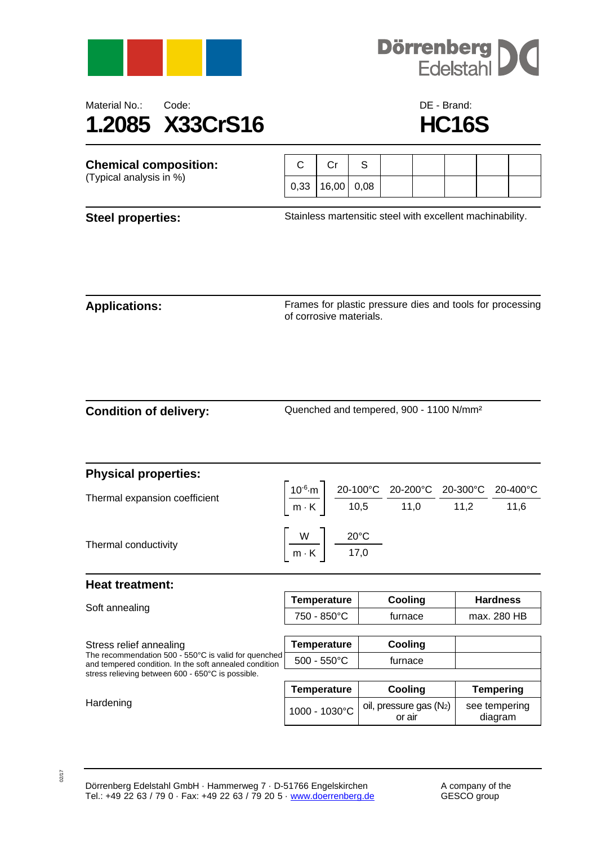



## Material No.: Code: Code: Code: DE - Brand: **1.2085 X33CrS16 HC16S**

| <b>Chemical composition:</b><br>(Typical analysis in %) |      |       |      |  |  |  |
|---------------------------------------------------------|------|-------|------|--|--|--|
|                                                         | 0,33 | 16,00 | 0.08 |  |  |  |

**Steel properties:** Stainless martensitic steel with excellent machinability.

**Applications:** Frames for plastic pressure dies and tools for processing of corrosive materials.

**Condition of delivery:** Quenched and tempered, 900 - 1100 N/mm²

| <b>Physical properties:</b>   |                                                                                                                                                                                                                         |  |  |
|-------------------------------|-------------------------------------------------------------------------------------------------------------------------------------------------------------------------------------------------------------------------|--|--|
| Thermal expansion coefficient |                                                                                                                                                                                                                         |  |  |
|                               | $\left \frac{10^{-6}\text{ m}}{\text{m} \cdot \text{K}}\right  = \frac{20-100^{\circ}\text{C}}{10,5} = \frac{20-200^{\circ}\text{C}}{11,0} = \frac{20-300^{\circ}\text{C}}{11,2} = \frac{20-400^{\circ}\text{C}}{11,6}$ |  |  |
| Thermal conductivity          | $\left \frac{W}{m\cdot K}\right  \frac{20^{\circ}C}{17,0}$                                                                                                                                                              |  |  |

## **Heat treatment:**

| Soft annealing                                                                                                 | <b>Temperature</b>    | Cooling                             | <b>Hardness</b>          |  |
|----------------------------------------------------------------------------------------------------------------|-----------------------|-------------------------------------|--------------------------|--|
|                                                                                                                | 750 - 850°C           | furnace                             | max. 280 HB              |  |
|                                                                                                                |                       |                                     |                          |  |
| Stress relief annealing                                                                                        | <b>Temperature</b>    | Cooling                             |                          |  |
| The recommendation 500 - 550°C is valid for quenched<br>and tempered condition. In the soft annealed condition | $500 - 550^{\circ}$ C | furnace                             |                          |  |
| stress relieving between 600 - 650°C is possible.                                                              |                       |                                     |                          |  |
|                                                                                                                | <b>Temperature</b>    | Cooling                             | <b>Tempering</b>         |  |
| Hardening                                                                                                      | 1000 - 1030°C         | oil, pressure gas $(N_2)$<br>or air | see tempering<br>diagram |  |